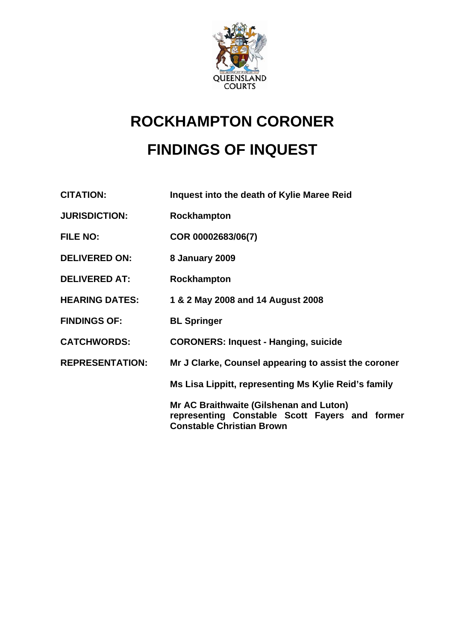

# **ROCKHAMPTON CORONER FINDINGS OF INQUEST**

**CITATION: Inquest into the death of Kylie Maree Reid** 

- **JURISDICTION: Rockhampton**
- **FILE NO: COR 00002683/06(7)**
- **DELIVERED ON: 8 January 2009**
- **DELIVERED AT: Rockhampton**
- **HEARING DATES: 1 & 2 May 2008 and 14 August 2008**
- **FINDINGS OF: BL Springer**
- **CATCHWORDS: CORONERS: Inquest Hanging, suicide**
- **REPRESENTATION: Mr J Clarke, Counsel appearing to assist the coroner**

 **Ms Lisa Lippitt, representing Ms Kylie Reid's family** 

**Mr AC Braithwaite (Gilshenan and Luton) representing Constable Scott Fayers and former Constable Christian Brown**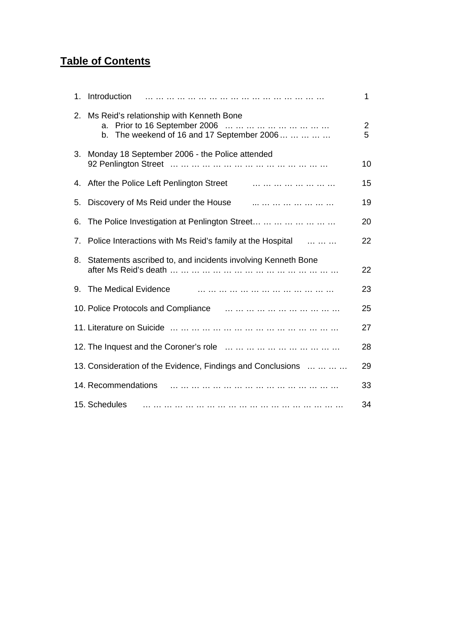## **Table of Contents**

| $1_{-}$                        | Introduction                                                                                        | 1                   |
|--------------------------------|-----------------------------------------------------------------------------------------------------|---------------------|
| $2_{-}$                        | Ms Reid's relationship with Kenneth Bone<br>a.<br>The weekend of 16 and 17 September 2006<br>b.     | $\overline{2}$<br>5 |
| 3.                             | Monday 18 September 2006 - the Police attended                                                      | 10                  |
| 4.                             |                                                                                                     | 15                  |
| 5.                             | Discovery of Ms Reid under the House <b>Example 20</b> in the two theory of Ms Reid under the House | 19                  |
| 6.                             | The Police Investigation at Penlington Street                                                       | 20                  |
| $7_{\scriptscriptstyle{\sim}}$ | Police Interactions with Ms Reid's family at the Hospital                                           | 22                  |
| 8.                             | Statements ascribed to, and incidents involving Kenneth Bone                                        | 22                  |
| 9.                             | The Medical Evidence                                                                                | 23                  |
|                                |                                                                                                     | 25                  |
|                                |                                                                                                     | 27                  |
|                                |                                                                                                     | 28                  |
|                                | 13. Consideration of the Evidence, Findings and Conclusions                                         | 29                  |
|                                | 14. Recommendations                                                                                 | 33                  |
|                                | 15. Schedules                                                                                       | 34                  |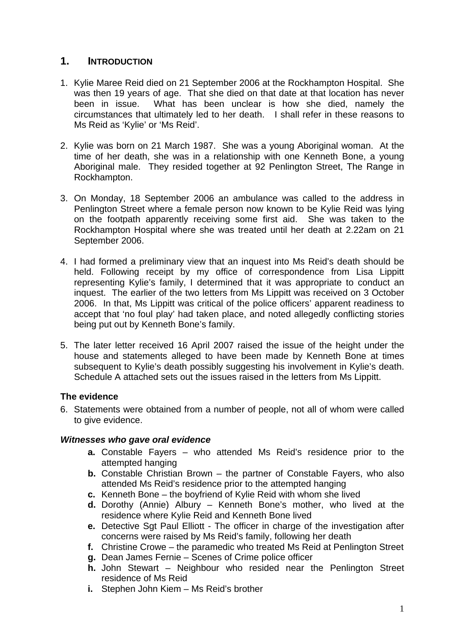## **1. INTRODUCTION**

- 1. Kylie Maree Reid died on 21 September 2006 at the Rockhampton Hospital. She was then 19 years of age. That she died on that date at that location has never been in issue. What has been unclear is how she died, namely the circumstances that ultimately led to her death. I shall refer in these reasons to Ms Reid as 'Kylie' or 'Ms Reid'.
- 2. Kylie was born on 21 March 1987. She was a young Aboriginal woman. At the time of her death, she was in a relationship with one Kenneth Bone, a young Aboriginal male. They resided together at 92 Penlington Street, The Range in Rockhampton.
- 3. On Monday, 18 September 2006 an ambulance was called to the address in Penlington Street where a female person now known to be Kylie Reid was lying on the footpath apparently receiving some first aid. She was taken to the Rockhampton Hospital where she was treated until her death at 2.22am on 21 September 2006.
- 4. I had formed a preliminary view that an inquest into Ms Reid's death should be held. Following receipt by my office of correspondence from Lisa Lippitt representing Kylie's family, I determined that it was appropriate to conduct an inquest. The earlier of the two letters from Ms Lippitt was received on 3 October 2006. In that, Ms Lippitt was critical of the police officers' apparent readiness to accept that 'no foul play' had taken place, and noted allegedly conflicting stories being put out by Kenneth Bone's family.
- 5. The later letter received 16 April 2007 raised the issue of the height under the house and statements alleged to have been made by Kenneth Bone at times subsequent to Kylie's death possibly suggesting his involvement in Kylie's death. Schedule A attached sets out the issues raised in the letters from Ms Lippitt.

## **The evidence**

6. Statements were obtained from a number of people, not all of whom were called to give evidence.

## *Witnesses who gave oral evidence*

- **a.** Constable Fayers who attended Ms Reid's residence prior to the attempted hanging
- **b.** Constable Christian Brown the partner of Constable Fayers, who also attended Ms Reid's residence prior to the attempted hanging
- **c.** Kenneth Bone the boyfriend of Kylie Reid with whom she lived
- **d.** Dorothy (Annie) Albury Kenneth Bone's mother, who lived at the residence where Kylie Reid and Kenneth Bone lived
- **e.** Detective Sgt Paul Elliott The officer in charge of the investigation after concerns were raised by Ms Reid's family, following her death
- **f.** Christine Crowe the paramedic who treated Ms Reid at Penlington Street
- **g.** Dean James Fernie Scenes of Crime police officer
- **h.** John Stewart Neighbour who resided near the Penlington Street residence of Ms Reid
- **i.** Stephen John Kiem Ms Reid's brother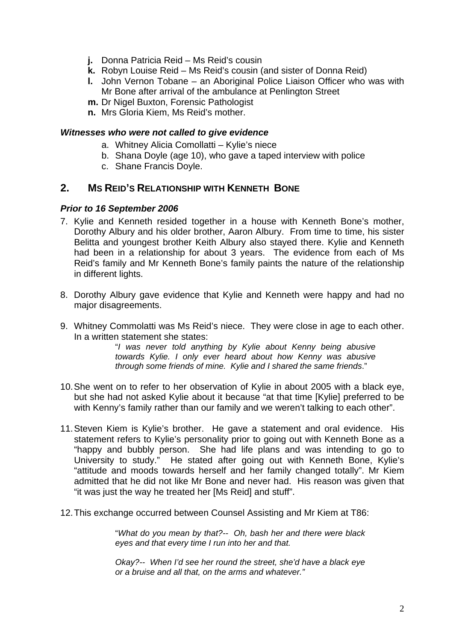- **j.** Donna Patricia Reid Ms Reid's cousin
- **k.** Robyn Louise Reid Ms Reid's cousin (and sister of Donna Reid)
- **l.** John Vernon Tobane an Aboriginal Police Liaison Officer who was with Mr Bone after arrival of the ambulance at Penlington Street
- **m.** Dr Nigel Buxton, Forensic Pathologist
- **n.** Mrs Gloria Kiem, Ms Reid's mother.

#### *Witnesses who were not called to give evidence*

- a. Whitney Alicia Comollatti Kylie's niece
- b. Shana Doyle (age 10), who gave a taped interview with police
- c. Shane Francis Doyle.

## **2. MS REID'S RELATIONSHIP WITH KENNETH BONE**

#### *Prior to 16 September 2006*

- 7. Kylie and Kenneth resided together in a house with Kenneth Bone's mother, Dorothy Albury and his older brother, Aaron Albury. From time to time, his sister Belitta and youngest brother Keith Albury also stayed there. Kylie and Kenneth had been in a relationship for about 3 years. The evidence from each of Ms Reid's family and Mr Kenneth Bone's family paints the nature of the relationship in different lights.
- 8. Dorothy Albury gave evidence that Kylie and Kenneth were happy and had no major disagreements.
- 9. Whitney Commolatti was Ms Reid's niece. They were close in age to each other. In a written statement she states:

"*I was never told anything by Kylie about Kenny being abusive towards Kylie. I only ever heard about how Kenny was abusive through some friends of mine. Kylie and I shared the same friends*."

- 10. She went on to refer to her observation of Kylie in about 2005 with a black eye, but she had not asked Kylie about it because "at that time [Kylie] preferred to be with Kenny's family rather than our family and we weren't talking to each other".
- 11. Steven Kiem is Kylie's brother. He gave a statement and oral evidence. His statement refers to Kylie's personality prior to going out with Kenneth Bone as a "happy and bubbly person. She had life plans and was intending to go to University to study." He stated after going out with Kenneth Bone, Kylie's "attitude and moods towards herself and her family changed totally". Mr Kiem admitted that he did not like Mr Bone and never had. His reason was given that "it was just the way he treated her [Ms Reid] and stuff".
- 12. This exchange occurred between Counsel Assisting and Mr Kiem at T86:

"*What do you mean by that?-- Oh, bash her and there were black eyes and that every time I run into her and that.* 

*Okay?-- When I'd see her round the street, she'd have a black eye or a bruise and all that, on the arms and whatever."*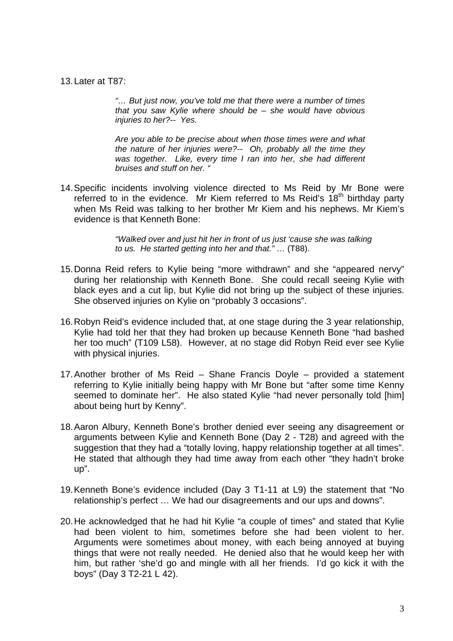13. Later at T87:

*"… But just now, you've told me that there were a number of times that you saw Kylie where should be – she would have obvious injuries to her?-- Yes.* 

*Are you able to be precise about when those times were and what the nature of her injuries were?-- Oh, probably all the time they*  was together. Like, every time I ran into her, she had different *bruises and stuff on her. "* 

14. Specific incidents involving violence directed to Ms Reid by Mr Bone were referred to in the evidence. Mr Kiem referred to Ms Reid's  $18<sup>th</sup>$  birthday party when Ms Reid was talking to her brother Mr Kiem and his nephews. Mr Kiem's evidence is that Kenneth Bone:

> *"Walked over and just hit her in front of us just 'cause she was talking to us. He started getting into her and that." …* (T88).

- 15. Donna Reid refers to Kylie being "more withdrawn" and she "appeared nervy" during her relationship with Kenneth Bone. She could recall seeing Kylie with black eyes and a cut lip, but Kylie did not bring up the subject of these injuries. She observed injuries on Kylie on "probably 3 occasions".
- 16. Robyn Reid's evidence included that, at one stage during the 3 year relationship, Kylie had told her that they had broken up because Kenneth Bone "had bashed her too much" (T109 L58). However, at no stage did Robyn Reid ever see Kylie with physical injuries.
- 17. Another brother of Ms Reid Shane Francis Doyle provided a statement referring to Kylie initially being happy with Mr Bone but "after some time Kenny seemed to dominate her". He also stated Kylie "had never personally told [him] about being hurt by Kenny".
- 18. Aaron Albury, Kenneth Bone's brother denied ever seeing any disagreement or arguments between Kylie and Kenneth Bone (Day 2 - T28) and agreed with the suggestion that they had a "totally loving, happy relationship together at all times". He stated that although they had time away from each other "they hadn't broke up".
- 19. Kenneth Bone's evidence included (Day 3 T1-11 at L9) the statement that "No relationship's perfect … We had our disagreements and our ups and downs".
- 20. He acknowledged that he had hit Kylie "a couple of times" and stated that Kylie had been violent to him, sometimes before she had been violent to her. Arguments were sometimes about money, with each being annoyed at buying things that were not really needed. He denied also that he would keep her with him, but rather 'she'd go and mingle with all her friends. I'd go kick it with the boys" (Day 3 T2-21 L 42).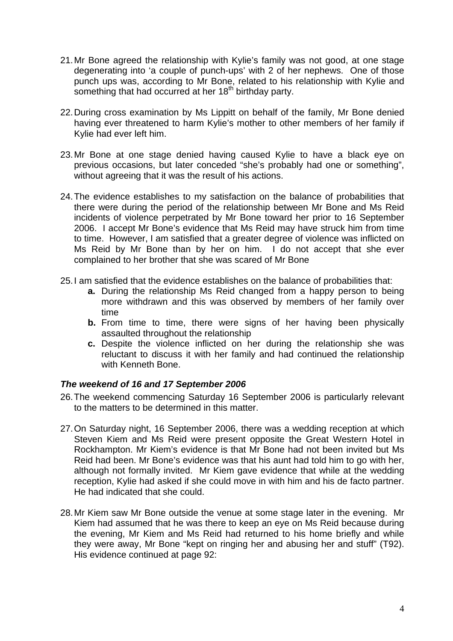- 21. Mr Bone agreed the relationship with Kylie's family was not good, at one stage degenerating into 'a couple of punch-ups' with 2 of her nephews. One of those punch ups was, according to Mr Bone, related to his relationship with Kylie and something that had occurred at her 18<sup>th</sup> birthday party.
- 22. During cross examination by Ms Lippitt on behalf of the family, Mr Bone denied having ever threatened to harm Kylie's mother to other members of her family if Kylie had ever left him.
- 23. Mr Bone at one stage denied having caused Kylie to have a black eye on previous occasions, but later conceded "she's probably had one or something", without agreeing that it was the result of his actions.
- 24. The evidence establishes to my satisfaction on the balance of probabilities that there were during the period of the relationship between Mr Bone and Ms Reid incidents of violence perpetrated by Mr Bone toward her prior to 16 September 2006. I accept Mr Bone's evidence that Ms Reid may have struck him from time to time. However, I am satisfied that a greater degree of violence was inflicted on Ms Reid by Mr Bone than by her on him. I do not accept that she ever complained to her brother that she was scared of Mr Bone
- 25. I am satisfied that the evidence establishes on the balance of probabilities that:
	- **a.** During the relationship Ms Reid changed from a happy person to being more withdrawn and this was observed by members of her family over time
	- **b.** From time to time, there were signs of her having been physically assaulted throughout the relationship
	- **c.** Despite the violence inflicted on her during the relationship she was reluctant to discuss it with her family and had continued the relationship with Kenneth Bone.

#### *The weekend of 16 and 17 September 2006*

- 26. The weekend commencing Saturday 16 September 2006 is particularly relevant to the matters to be determined in this matter.
- 27. On Saturday night, 16 September 2006, there was a wedding reception at which Steven Kiem and Ms Reid were present opposite the Great Western Hotel in Rockhampton. Mr Kiem's evidence is that Mr Bone had not been invited but Ms Reid had been. Mr Bone's evidence was that his aunt had told him to go with her, although not formally invited. Mr Kiem gave evidence that while at the wedding reception, Kylie had asked if she could move in with him and his de facto partner. He had indicated that she could.
- 28. Mr Kiem saw Mr Bone outside the venue at some stage later in the evening. Mr Kiem had assumed that he was there to keep an eye on Ms Reid because during the evening, Mr Kiem and Ms Reid had returned to his home briefly and while they were away, Mr Bone "kept on ringing her and abusing her and stuff" (T92). His evidence continued at page 92: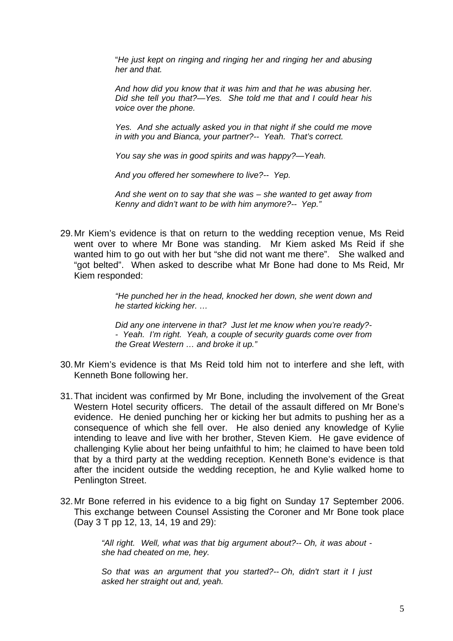"*He just kept on ringing and ringing her and ringing her and abusing her and that.* 

*And how did you know that it was him and that he was abusing her. Did she tell you that?—Yes. She told me that and I could hear his voice over the phone.* 

*Yes. And she actually asked you in that night if she could me move in with you and Bianca, your partner?-- Yeah. That's correct.* 

*You say she was in good spirits and was happy?—Yeah.* 

*And you offered her somewhere to live?-- Yep.* 

*And she went on to say that she was – she wanted to get away from Kenny and didn't want to be with him anymore?-- Yep."* 

29. Mr Kiem's evidence is that on return to the wedding reception venue, Ms Reid went over to where Mr Bone was standing. Mr Kiem asked Ms Reid if she wanted him to go out with her but "she did not want me there". She walked and "got belted". When asked to describe what Mr Bone had done to Ms Reid, Mr Kiem responded:

> *"He punched her in the head, knocked her down, she went down and he started kicking her. …*

> *Did any one intervene in that? Just let me know when you're ready?- - Yeah. I'm right. Yeah, a couple of security guards come over from the Great Western … and broke it up."*

- 30. Mr Kiem's evidence is that Ms Reid told him not to interfere and she left, with Kenneth Bone following her.
- 31. That incident was confirmed by Mr Bone, including the involvement of the Great Western Hotel security officers. The detail of the assault differed on Mr Bone's evidence. He denied punching her or kicking her but admits to pushing her as a consequence of which she fell over. He also denied any knowledge of Kylie intending to leave and live with her brother, Steven Kiem. He gave evidence of challenging Kylie about her being unfaithful to him; he claimed to have been told that by a third party at the wedding reception. Kenneth Bone's evidence is that after the incident outside the wedding reception, he and Kylie walked home to Penlington Street.
- 32. Mr Bone referred in his evidence to a big fight on Sunday 17 September 2006. This exchange between Counsel Assisting the Coroner and Mr Bone took place (Day 3 T pp 12, 13, 14, 19 and 29):

*"All right. Well, what was that big argument about?-- Oh, it was about she had cheated on me, hey.* 

*So that was an argument that you started?-- Oh, didn't start it I just asked her straight out and, yeah.*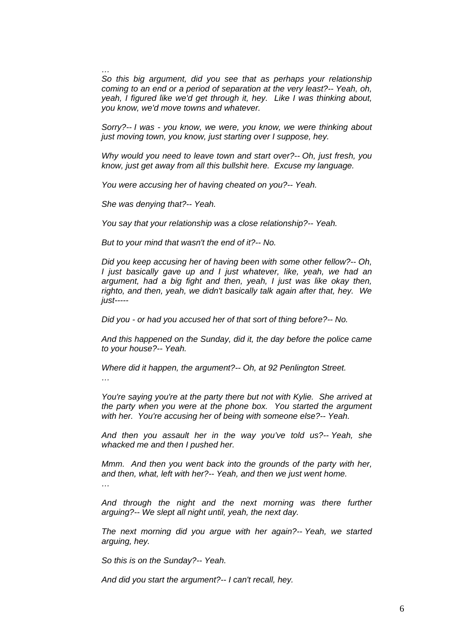*… So this big argument, did you see that as perhaps your relationship coming to an end or a period of separation at the very least?-- Yeah, oh, yeah, I figured like we'd get through it, hey. Like I was thinking about, you know, we'd move towns and whatever.* 

*Sorry?-- I was - you know, we were, you know, we were thinking about just moving town, you know, just starting over I suppose, hey.* 

*Why would you need to leave town and start over?-- Oh, just fresh, you know, just get away from all this bullshit here. Excuse my language.* 

*You were accusing her of having cheated on you?-- Yeah.* 

*She was denying that?-- Yeah.* 

*You say that your relationship was a close relationship?-- Yeah.* 

*But to your mind that wasn't the end of it?-- No.* 

*Did you keep accusing her of having been with some other fellow?-- Oh, I just basically gave up and I just whatever, like, yeah, we had an argument, had a big fight and then, yeah, I just was like okay then, righto, and then, yeah, we didn't basically talk again after that, hey. We just-----* 

*Did you - or had you accused her of that sort of thing before?-- No.* 

*And this happened on the Sunday, did it, the day before the police came to your house?-- Yeah.* 

*Where did it happen, the argument?-- Oh, at 92 Penlington Street.* 

*You're saying you're at the party there but not with Kylie. She arrived at the party when you were at the phone box. You started the argument with her. You're accusing her of being with someone else?-- Yeah.* 

*And then you assault her in the way you've told us?-- Yeah, she whacked me and then I pushed her.* 

*Mmm.* And then you went back into the grounds of the party with her, *and then, what, left with her?-- Yeah, and then we just went home.* 

*…* 

*…* 

And through the night and the next morning was there further *arguing?-- We slept all night until, yeah, the next day.* 

*The next morning did you argue with her again?-- Yeah, we started arguing, hey.* 

*So this is on the Sunday?-- Yeah.* 

*And did you start the argument?-- I can't recall, hey.*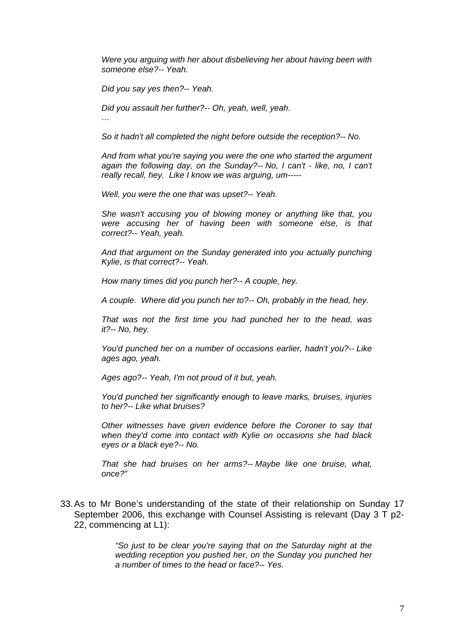*Were you arguing with her about disbelieving her about having been with someone else?-- Yeah.* 

*Did you say yes then?-- Yeah.* 

*Did you assault her further?-- Oh, yeah, well, yeah.* 

*…* 

*So it hadn't all completed the night before outside the reception?-- No.* 

*And from what you're saying you were the one who started the argument*  again the following day, on the Sunday?-- No, I can't - like, no, I can't *really recall, hey. Like I know we was arguing, um-----* 

*Well, you were the one that was upset?-- Yeah.* 

*She wasn't accusing you of blowing money or anything like that, you were accusing her of having been with someone else, is that correct?-- Yeah, yeah.* 

*And that argument on the Sunday generated into you actually punching Kylie, is that correct?-- Yeah.* 

*How many times did you punch her?-- A couple, hey.* 

*A couple. Where did you punch her to?-- Oh, probably in the head, hey.* 

*That was not the first time you had punched her to the head, was it?-- No, hey.* 

*You'd punched her on a number of occasions earlier, hadn't you?-- Like ages ago, yeah.* 

*Ages ago?-- Yeah, I'm not proud of it but, yeah.* 

*You'd punched her significantly enough to leave marks, bruises, injuries to her?-- Like what bruises?* 

*Other witnesses have given evidence before the Coroner to say that when they'd come into contact with Kylie on occasions she had black eyes or a black eye?-- No.* 

*That she had bruises on her arms?-- Maybe like one bruise, what, once?"* 

33. As to Mr Bone's understanding of the state of their relationship on Sunday 17 September 2006, this exchange with Counsel Assisting is relevant (Day 3 T p2- 22, commencing at L1):

> *"So just to be clear you're saying that on the Saturday night at the wedding reception you pushed her, on the Sunday you punched her a number of times to the head or face?-- Yes.*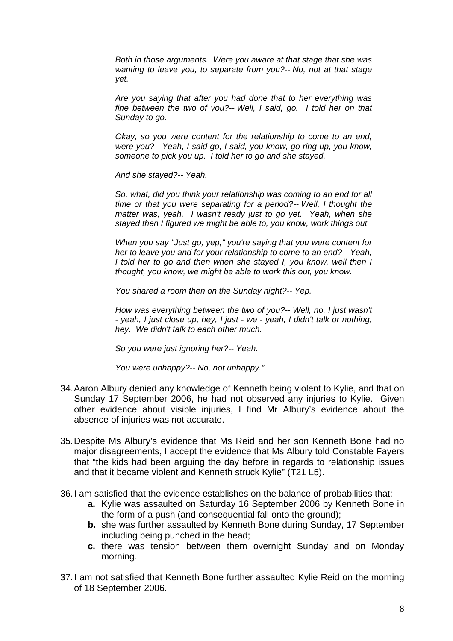*Both in those arguments. Were you aware at that stage that she was wanting to leave you, to separate from you?-- No, not at that stage yet.* 

*Are you saying that after you had done that to her everything was fine between the two of you?-- Well, I said, go. I told her on that Sunday to go.* 

*Okay, so you were content for the relationship to come to an end, were you?-- Yeah, I said go, I said, you know, go ring up, you know, someone to pick you up. I told her to go and she stayed.* 

*And she stayed?-- Yeah.* 

*So, what, did you think your relationship was coming to an end for all time or that you were separating for a period?-- Well, I thought the matter was, yeah. I wasn't ready just to go yet. Yeah, when she stayed then I figured we might be able to, you know, work things out.* 

*When you say "Just go, yep," you're saying that you were content for her to leave you and for your relationship to come to an end?-- Yeah, I told her to go and then when she stayed I, you know, well then I thought, you know, we might be able to work this out, you know.* 

*You shared a room then on the Sunday night?-- Yep.* 

*How was everything between the two of you?-- Well, no, I just wasn't - yeah, I just close up, hey, I just - we - yeah, I didn't talk or nothing, hey. We didn't talk to each other much.* 

*So you were just ignoring her?-- Yeah.* 

*You were unhappy?-- No, not unhappy."* 

- 34. Aaron Albury denied any knowledge of Kenneth being violent to Kylie, and that on Sunday 17 September 2006, he had not observed any injuries to Kylie. Given other evidence about visible injuries, I find Mr Albury's evidence about the absence of injuries was not accurate.
- 35. Despite Ms Albury's evidence that Ms Reid and her son Kenneth Bone had no major disagreements, I accept the evidence that Ms Albury told Constable Fayers that "the kids had been arguing the day before in regards to relationship issues and that it became violent and Kenneth struck Kylie" (T21 L5).
- 36. I am satisfied that the evidence establishes on the balance of probabilities that:
	- **a.** Kylie was assaulted on Saturday 16 September 2006 by Kenneth Bone in the form of a push (and consequential fall onto the ground);
	- **b.** she was further assaulted by Kenneth Bone during Sunday, 17 September including being punched in the head;
	- **c.** there was tension between them overnight Sunday and on Monday morning.
- 37. I am not satisfied that Kenneth Bone further assaulted Kylie Reid on the morning of 18 September 2006.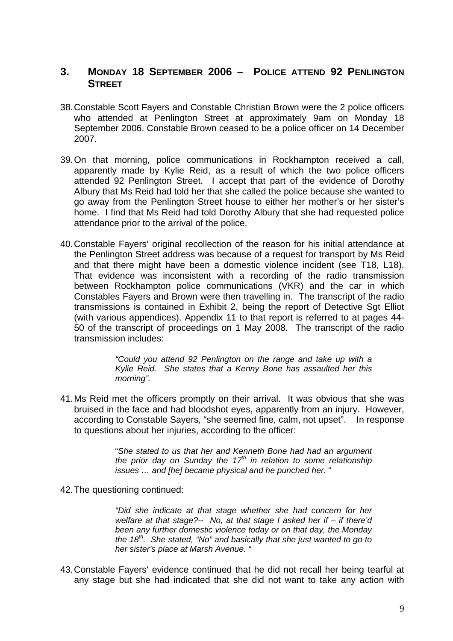## **3. MONDAY 18 SEPTEMBER 2006 – POLICE ATTEND 92 PENLINGTON STREET**

- 38. Constable Scott Fayers and Constable Christian Brown were the 2 police officers who attended at Penlington Street at approximately 9am on Monday 18 September 2006. Constable Brown ceased to be a police officer on 14 December 2007.
- 39. On that morning, police communications in Rockhampton received a call, apparently made by Kylie Reid, as a result of which the two police officers attended 92 Penlington Street. I accept that part of the evidence of Dorothy Albury that Ms Reid had told her that she called the police because she wanted to go away from the Penlington Street house to either her mother's or her sister's home. I find that Ms Reid had told Dorothy Albury that she had requested police attendance prior to the arrival of the police.
- 40. Constable Fayers' original recollection of the reason for his initial attendance at the Penlington Street address was because of a request for transport by Ms Reid and that there might have been a domestic violence incident (see T18, L18). That evidence was inconsistent with a recording of the radio transmission between Rockhampton police communications (VKR) and the car in which Constables Fayers and Brown were then travelling in. The transcript of the radio transmissions is contained in Exhibit 2, being the report of Detective Sgt Elliot (with various appendices). Appendix 11 to that report is referred to at pages 44- 50 of the transcript of proceedings on 1 May 2008. The transcript of the radio transmission includes:

*"Could you attend 92 Penlington on the range and take up with a Kylie Reid. She states that a Kenny Bone has assaulted her this morning".* 

41. Ms Reid met the officers promptly on their arrival. It was obvious that she was bruised in the face and had bloodshot eyes, apparently from an injury. However, according to Constable Sayers, "she seemed fine, calm, not upset". In response to questions about her injuries, according to the officer:

> "*She stated to us that her and Kenneth Bone had had an argument the prior day on Sunday the 17th in relation to some relationship issues … and [he] became physical and he punched her.* "

42. The questioning continued:

*"Did she indicate at that stage whether she had concern for her welfare at that stage?-- No, at that stage I asked her if – if there'd been any further domestic violence today or on that day, the Monday the 18th. She stated, "No" and basically that she just wanted to go to her sister's place at Marsh Avenue. "* 

43. Constable Fayers' evidence continued that he did not recall her being tearful at any stage but she had indicated that she did not want to take any action with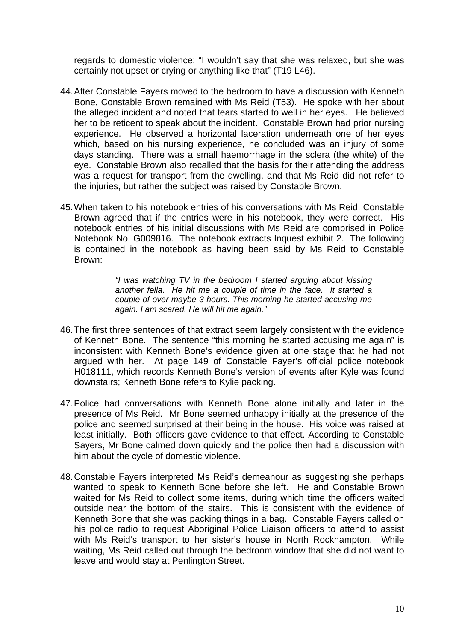regards to domestic violence: "I wouldn't say that she was relaxed, but she was certainly not upset or crying or anything like that" (T19 L46).

- 44. After Constable Fayers moved to the bedroom to have a discussion with Kenneth Bone, Constable Brown remained with Ms Reid (T53). He spoke with her about the alleged incident and noted that tears started to well in her eyes. He believed her to be reticent to speak about the incident. Constable Brown had prior nursing experience. He observed a horizontal laceration underneath one of her eyes which, based on his nursing experience, he concluded was an injury of some days standing. There was a small haemorrhage in the sclera (the white) of the eye. Constable Brown also recalled that the basis for their attending the address was a request for transport from the dwelling, and that Ms Reid did not refer to the injuries, but rather the subject was raised by Constable Brown.
- 45. When taken to his notebook entries of his conversations with Ms Reid, Constable Brown agreed that if the entries were in his notebook, they were correct. His notebook entries of his initial discussions with Ms Reid are comprised in Police Notebook No. G009816. The notebook extracts Inquest exhibit 2. The following is contained in the notebook as having been said by Ms Reid to Constable Brown:

*"I was watching TV in the bedroom I started arguing about kissing another fella. He hit me a couple of time in the face. It started a couple of over maybe 3 hours. This morning he started accusing me again. I am scared. He will hit me again."* 

- 46. The first three sentences of that extract seem largely consistent with the evidence of Kenneth Bone. The sentence "this morning he started accusing me again" is inconsistent with Kenneth Bone's evidence given at one stage that he had not argued with her. At page 149 of Constable Fayer's official police notebook H018111, which records Kenneth Bone's version of events after Kyle was found downstairs; Kenneth Bone refers to Kylie packing.
- 47. Police had conversations with Kenneth Bone alone initially and later in the presence of Ms Reid. Mr Bone seemed unhappy initially at the presence of the police and seemed surprised at their being in the house. His voice was raised at least initially. Both officers gave evidence to that effect. According to Constable Sayers, Mr Bone calmed down quickly and the police then had a discussion with him about the cycle of domestic violence.
- 48. Constable Fayers interpreted Ms Reid's demeanour as suggesting she perhaps wanted to speak to Kenneth Bone before she left. He and Constable Brown waited for Ms Reid to collect some items, during which time the officers waited outside near the bottom of the stairs. This is consistent with the evidence of Kenneth Bone that she was packing things in a bag. Constable Fayers called on his police radio to request Aboriginal Police Liaison officers to attend to assist with Ms Reid's transport to her sister's house in North Rockhampton. While waiting, Ms Reid called out through the bedroom window that she did not want to leave and would stay at Penlington Street.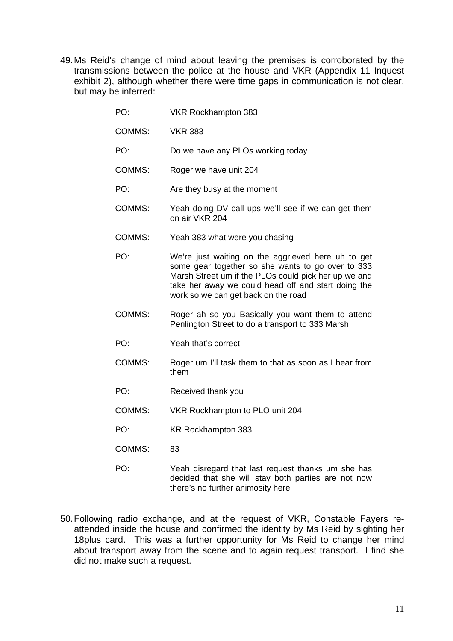49. Ms Reid's change of mind about leaving the premises is corroborated by the transmissions between the police at the house and VKR (Appendix 11 Inquest exhibit 2), although whether there were time gaps in communication is not clear, but may be inferred:

| PO:    | VKR Rockhampton 383                                                                                                                                                                                                                                           |
|--------|---------------------------------------------------------------------------------------------------------------------------------------------------------------------------------------------------------------------------------------------------------------|
| COMMS: | <b>VKR 383</b>                                                                                                                                                                                                                                                |
| PO:    | Do we have any PLOs working today                                                                                                                                                                                                                             |
| COMMS: | Roger we have unit 204                                                                                                                                                                                                                                        |
| PO:    | Are they busy at the moment                                                                                                                                                                                                                                   |
| COMMS: | Yeah doing DV call ups we'll see if we can get them<br>on air VKR 204                                                                                                                                                                                         |
| COMMS: | Yeah 383 what were you chasing                                                                                                                                                                                                                                |
| PO:    | We're just waiting on the aggrieved here uh to get<br>some gear together so she wants to go over to 333<br>Marsh Street um if the PLOs could pick her up we and<br>take her away we could head off and start doing the<br>work so we can get back on the road |
| COMMS: | Roger ah so you Basically you want them to attend<br>Penlington Street to do a transport to 333 Marsh                                                                                                                                                         |
| PO:    | Yeah that's correct                                                                                                                                                                                                                                           |
| COMMS: | Roger um I'll task them to that as soon as I hear from<br>them                                                                                                                                                                                                |
| PO:    | Received thank you                                                                                                                                                                                                                                            |
| COMMS: | VKR Rockhampton to PLO unit 204                                                                                                                                                                                                                               |
| PO:    | KR Rockhampton 383                                                                                                                                                                                                                                            |
| COMMS: | 83                                                                                                                                                                                                                                                            |
| PO:    | Yeah disregard that last request thanks um she has<br>decided that she will stay both parties are not now<br>there's no further animosity here                                                                                                                |

50. Following radio exchange, and at the request of VKR, Constable Fayers reattended inside the house and confirmed the identity by Ms Reid by sighting her 18plus card. This was a further opportunity for Ms Reid to change her mind about transport away from the scene and to again request transport. I find she did not make such a request.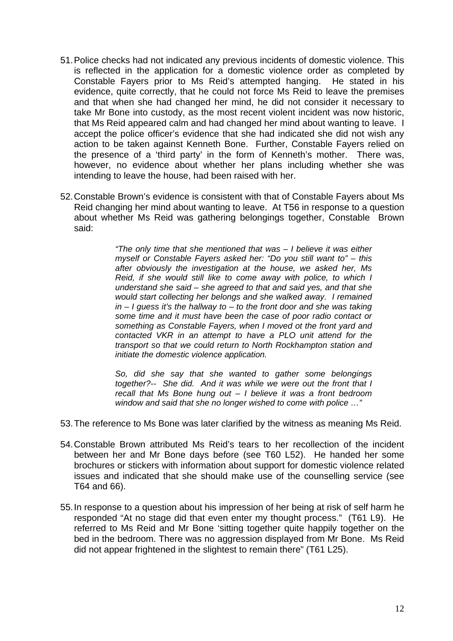- 51. Police checks had not indicated any previous incidents of domestic violence. This is reflected in the application for a domestic violence order as completed by Constable Fayers prior to Ms Reid's attempted hanging. He stated in his evidence, quite correctly, that he could not force Ms Reid to leave the premises and that when she had changed her mind, he did not consider it necessary to take Mr Bone into custody, as the most recent violent incident was now historic, that Ms Reid appeared calm and had changed her mind about wanting to leave. I accept the police officer's evidence that she had indicated she did not wish any action to be taken against Kenneth Bone. Further, Constable Fayers relied on the presence of a 'third party' in the form of Kenneth's mother. There was, however, no evidence about whether her plans including whether she was intending to leave the house, had been raised with her.
- 52. Constable Brown's evidence is consistent with that of Constable Fayers about Ms Reid changing her mind about wanting to leave. At T56 in response to a question about whether Ms Reid was gathering belongings together, Constable Brown said:

*"The only time that she mentioned that was – I believe it was either myself or Constable Fayers asked her: "Do you still want to" – this after obviously the investigation at the house, we asked her, Ms Reid, if she would still like to come away with police, to which I understand she said – she agreed to that and said yes, and that she would start collecting her belongs and she walked away. I remained in – I guess it's the hallway to – to the front door and she was taking some time and it must have been the case of poor radio contact or something as Constable Fayers, when I moved ot the front yard and contacted VKR in an attempt to have a PLO unit attend for the transport so that we could return to North Rockhampton station and initiate the domestic violence application.* 

*So, did she say that she wanted to gather some belongings together?-- She did. And it was while we were out the front that I recall that Ms Bone hung out – I believe it was a front bedroom window and said that she no longer wished to come with police …"* 

- 53. The reference to Ms Bone was later clarified by the witness as meaning Ms Reid.
- 54. Constable Brown attributed Ms Reid's tears to her recollection of the incident between her and Mr Bone days before (see T60 L52). He handed her some brochures or stickers with information about support for domestic violence related issues and indicated that she should make use of the counselling service (see T64 and 66).
- 55. In response to a question about his impression of her being at risk of self harm he responded "At no stage did that even enter my thought process." (T61 L9). He referred to Ms Reid and Mr Bone 'sitting together quite happily together on the bed in the bedroom. There was no aggression displayed from Mr Bone. Ms Reid did not appear frightened in the slightest to remain there" (T61 L25).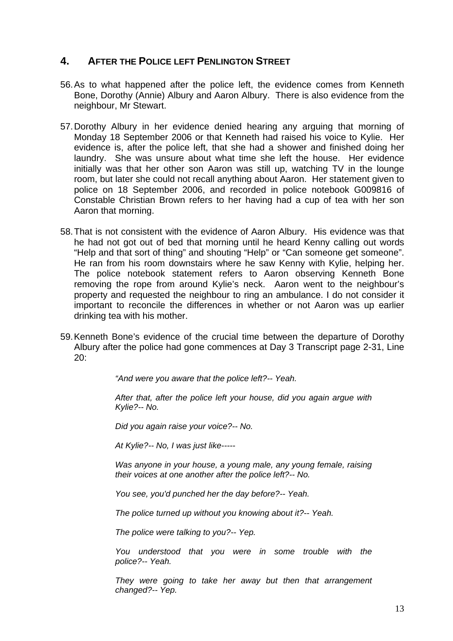## **4. AFTER THE POLICE LEFT PENLINGTON STREET**

- 56. As to what happened after the police left, the evidence comes from Kenneth Bone, Dorothy (Annie) Albury and Aaron Albury. There is also evidence from the neighbour, Mr Stewart.
- 57. Dorothy Albury in her evidence denied hearing any arguing that morning of Monday 18 September 2006 or that Kenneth had raised his voice to Kylie. Her evidence is, after the police left, that she had a shower and finished doing her laundry. She was unsure about what time she left the house. Her evidence initially was that her other son Aaron was still up, watching TV in the lounge room, but later she could not recall anything about Aaron. Her statement given to police on 18 September 2006, and recorded in police notebook G009816 of Constable Christian Brown refers to her having had a cup of tea with her son Aaron that morning.
- 58. That is not consistent with the evidence of Aaron Albury. His evidence was that he had not got out of bed that morning until he heard Kenny calling out words "Help and that sort of thing" and shouting "Help" or "Can someone get someone". He ran from his room downstairs where he saw Kenny with Kylie, helping her. The police notebook statement refers to Aaron observing Kenneth Bone removing the rope from around Kylie's neck. Aaron went to the neighbour's property and requested the neighbour to ring an ambulance. I do not consider it important to reconcile the differences in whether or not Aaron was up earlier drinking tea with his mother.
- 59. Kenneth Bone's evidence of the crucial time between the departure of Dorothy Albury after the police had gone commences at Day 3 Transcript page 2-31, Line  $20<sup>1</sup>$

*"And were you aware that the police left?-- Yeah.* 

*After that, after the police left your house, did you again argue with Kylie?-- No.* 

*Did you again raise your voice?-- No.* 

*At Kylie?-- No, I was just like-----* 

*Was anyone in your house, a young male, any young female, raising their voices at one another after the police left?-- No.* 

*You see, you'd punched her the day before?-- Yeah.* 

*The police turned up without you knowing about it?-- Yeah.* 

*The police were talking to you?-- Yep.* 

*You understood that you were in some trouble with the police?-- Yeah.* 

*They were going to take her away but then that arrangement changed?-- Yep.*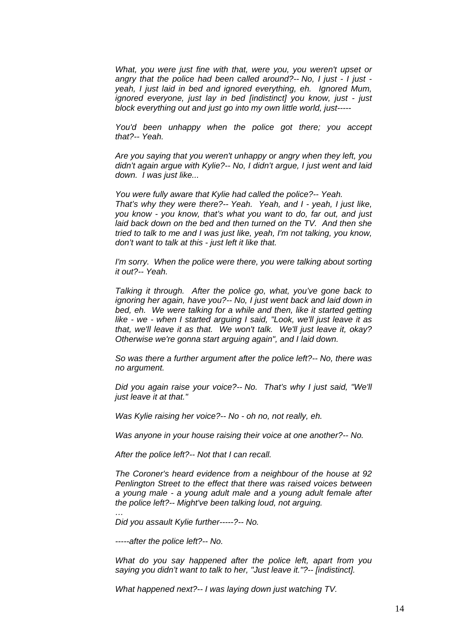*What, you were just fine with that, were you, you weren't upset or angry that the police had been called around?-- No, I just - I just yeah, I just laid in bed and ignored everything, eh. Ignored Mum, ignored everyone, just lay in bed [indistinct] you know, just - just block everything out and just go into my own little world, just-----* 

*You'd been unhappy when the police got there; you accept that?-- Yeah.* 

*Are you saying that you weren't unhappy or angry when they left, you didn't again argue with Kylie?-- No, I didn't argue, I just went and laid down. I was just like...* 

*You were fully aware that Kylie had called the police?-- Yeah. That's why they were there?-- Yeah. Yeah, and I - yeah, I just like, you know - you know, that's what you want to do, far out, and just laid back down on the bed and then turned on the TV. And then she tried to talk to me and I was just like, yeah, I'm not talking, you know, don't want to talk at this - just left it like that.* 

*I'm sorry.* When the police were there, you were talking about sorting *it out?-- Yeah.* 

*Talking it through. After the police go, what, you've gone back to ignoring her again, have you?-- No, I just went back and laid down in*  bed, eh. We were talking for a while and then, like it started getting *like - we - when I started arguing I said, "Look, we'll just leave it as that, we'll leave it as that. We won't talk. We'll just leave it, okay? Otherwise we're gonna start arguing again", and I laid down.* 

*So was there a further argument after the police left?-- No, there was no argument.* 

*Did you again raise your voice?-- No. That's why I just said, "We'll just leave it at that."* 

*Was Kylie raising her voice?-- No - oh no, not really, eh.* 

*Was anyone in your house raising their voice at one another?-- No.* 

*After the police left?-- Not that I can recall.* 

*The Coroner's heard evidence from a neighbour of the house at 92 Penlington Street to the effect that there was raised voices between a young male - a young adult male and a young adult female after the police left?-- Might've been talking loud, not arguing.* 

*Did you assault Kylie further-----?-- No.* 

*-----after the police left?-- No.* 

*…* 

*What do you say happened after the police left, apart from you saying you didn't want to talk to her, "Just leave it."?-- [indistinct].* 

*What happened next?-- I was laying down just watching TV.*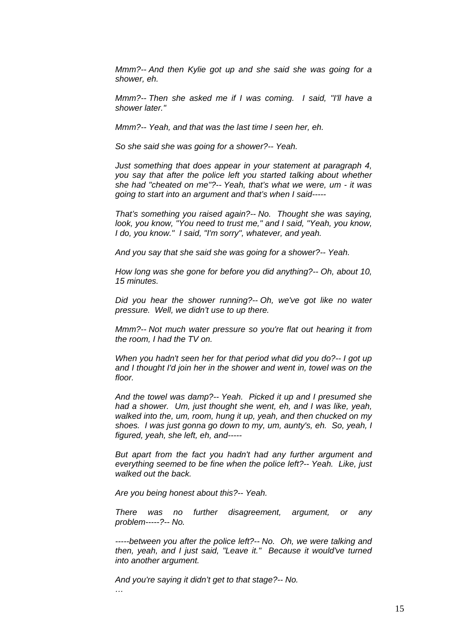*Mmm?-- And then Kylie got up and she said she was going for a shower, eh.* 

*Mmm?-- Then she asked me if I was coming. I said, "I'll have a shower later."* 

*Mmm?-- Yeah, and that was the last time I seen her, eh.* 

*So she said she was going for a shower?-- Yeah.* 

*Just something that does appear in your statement at paragraph 4, you say that after the police left you started talking about whether she had "cheated on me"?-- Yeah, that's what we were, um - it was going to start into an argument and that's when I said-----* 

*That's something you raised again?-- No. Thought she was saying, look, you know, "You need to trust me," and I said, "Yeah, you know, I do, you know." I said, "I'm sorry", whatever, and yeah.* 

*And you say that she said she was going for a shower?-- Yeah.* 

*How long was she gone for before you did anything?-- Oh, about 10, 15 minutes.* 

*Did you hear the shower running?-- Oh, we've got like no water pressure. Well, we didn't use to up there.* 

*Mmm?-- Not much water pressure so you're flat out hearing it from the room, I had the TV on.* 

*When you hadn't seen her for that period what did you do?-- I got up and I thought I'd join her in the shower and went in, towel was on the floor.* 

*And the towel was damp?-- Yeah. Picked it up and I presumed she had a shower. Um, just thought she went, eh, and I was like, yeah, walked into the, um, room, hung it up, yeah, and then chucked on my shoes. I was just gonna go down to my, um, aunty's, eh. So, yeah, I figured, yeah, she left, eh, and-----* 

*But apart from the fact you hadn't had any further argument and everything seemed to be fine when the police left?-- Yeah. Like, just walked out the back.* 

*Are you being honest about this?-- Yeah.* 

*There was no further disagreement, argument, or any problem-----?-- No.* 

*-----between you after the police left?-- No. Oh, we were talking and then, yeah, and I just said, "Leave it." Because it would've turned into another argument.* 

*And you're saying it didn't get to that stage?-- No.* 

*…*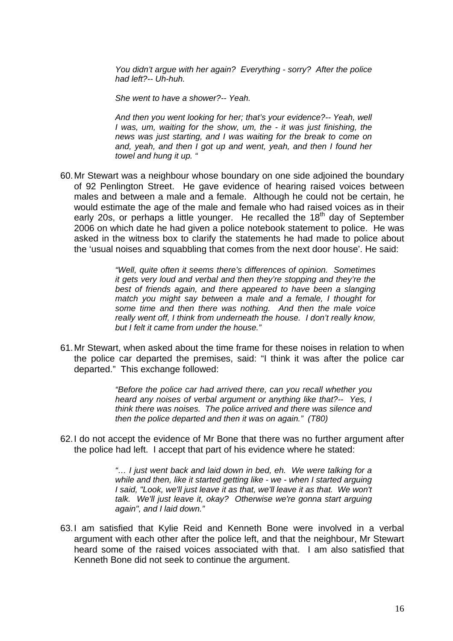*You didn't argue with her again? Everything - sorry? After the police had left?-- Uh-huh.* 

*She went to have a shower?-- Yeah.* 

*And then you went looking for her; that's your evidence?-- Yeah, well I was, um, waiting for the show, um, the - it was just finishing, the news was just starting, and I was waiting for the break to come on and, yeah, and then I got up and went, yeah, and then I found her towel and hung it up. "* 

60. Mr Stewart was a neighbour whose boundary on one side adjoined the boundary of 92 Penlington Street. He gave evidence of hearing raised voices between males and between a male and a female. Although he could not be certain, he would estimate the age of the male and female who had raised voices as in their early 20s, or perhaps a little younger. He recalled the  $18<sup>th</sup>$  day of September 2006 on which date he had given a police notebook statement to police. He was asked in the witness box to clarify the statements he had made to police about the 'usual noises and squabbling that comes from the next door house'. He said:

> *"Well, quite often it seems there's differences of opinion. Sometimes it gets very loud and verbal and then they're stopping and they're the*  best of friends again, and there appeared to have been a slanging *match you might say between a male and a female, I thought for some time and then there was nothing. And then the male voice really went off, I think from underneath the house. I don't really know, but I felt it came from under the house."*

61. Mr Stewart, when asked about the time frame for these noises in relation to when the police car departed the premises, said: "I think it was after the police car departed." This exchange followed:

> *"Before the police car had arrived there, can you recall whether you heard any noises of verbal argument or anything like that?-- Yes, I think there was noises. The police arrived and there was silence and then the police departed and then it was on again." (T80)*

62. I do not accept the evidence of Mr Bone that there was no further argument after the police had left. I accept that part of his evidence where he stated:

> *"… I just went back and laid down in bed, eh. We were talking for a while and then, like it started getting like - we - when I started arguing I said, "Look, we'll just leave it as that, we'll leave it as that. We won't talk. We'll just leave it, okay? Otherwise we're gonna start arguing again", and I laid down."*

63. I am satisfied that Kylie Reid and Kenneth Bone were involved in a verbal argument with each other after the police left, and that the neighbour, Mr Stewart heard some of the raised voices associated with that. I am also satisfied that Kenneth Bone did not seek to continue the argument.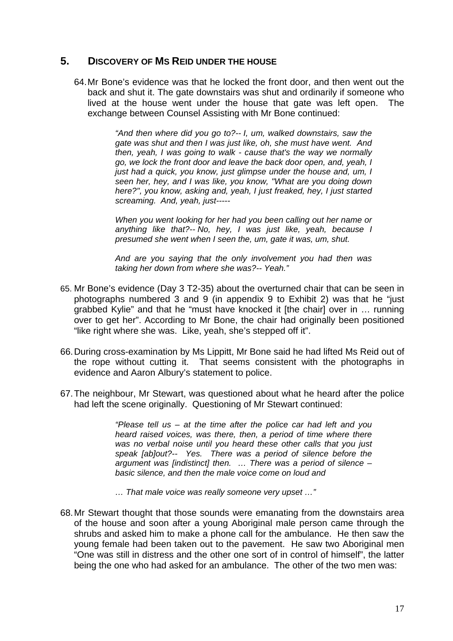## **5. DISCOVERY OF MS REID UNDER THE HOUSE**

64. Mr Bone's evidence was that he locked the front door, and then went out the back and shut it. The gate downstairs was shut and ordinarily if someone who lived at the house went under the house that gate was left open. The exchange between Counsel Assisting with Mr Bone continued:

> *"And then where did you go to?-- I, um, walked downstairs, saw the gate was shut and then I was just like, oh, she must have went. And then, yeah, I was going to walk - cause that's the way we normally go, we lock the front door and leave the back door open, and, yeah, I just had a quick, you know, just glimpse under the house and, um, I seen her, hey, and I was like, you know, "What are you doing down here?", you know, asking and, yeah, I just freaked, hey, I just started screaming. And, yeah, just-----*

> *When you went looking for her had you been calling out her name or anything like that?-- No, hey, I was just like, yeah, because I presumed she went when I seen the, um, gate it was, um, shut.*

> *And are you saying that the only involvement you had then was taking her down from where she was?-- Yeah."*

- 65. Mr Bone's evidence (Day 3 T2-35) about the overturned chair that can be seen in photographs numbered 3 and 9 (in appendix 9 to Exhibit 2) was that he "just grabbed Kylie" and that he "must have knocked it [the chair] over in … running over to get her". According to Mr Bone, the chair had originally been positioned "like right where she was. Like, yeah, she's stepped off it".
- 66. During cross-examination by Ms Lippitt, Mr Bone said he had lifted Ms Reid out of the rope without cutting it. That seems consistent with the photographs in evidence and Aaron Albury's statement to police.
- 67. The neighbour, Mr Stewart, was questioned about what he heard after the police had left the scene originally. Questioning of Mr Stewart continued:

*"Please tell us – at the time after the police car had left and you heard raised voices, was there, then, a period of time where there was no verbal noise until you heard these other calls that you just speak [ab]out?-- Yes. There was a period of silence before the argument was [indistinct] then. … There was a period of silence – basic silence, and then the male voice come on loud and* 

*… That male voice was really someone very upset …"* 

68. Mr Stewart thought that those sounds were emanating from the downstairs area of the house and soon after a young Aboriginal male person came through the shrubs and asked him to make a phone call for the ambulance. He then saw the young female had been taken out to the pavement. He saw two Aboriginal men "One was still in distress and the other one sort of in control of himself", the latter being the one who had asked for an ambulance. The other of the two men was: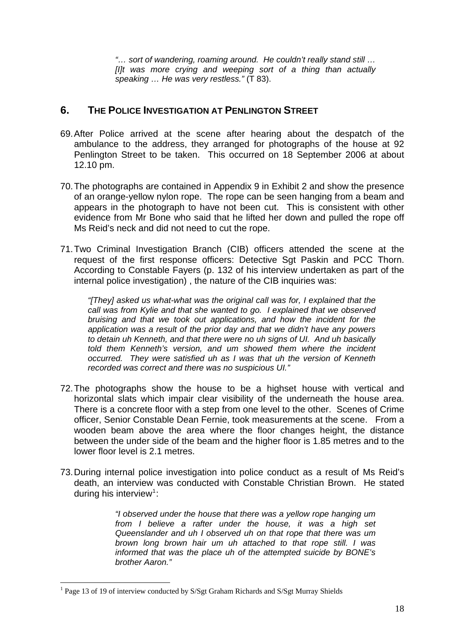*"… sort of wandering, roaming around. He couldn't really stand still … [I]t was more crying and weeping sort of a thing than actually speaking … He was very restless."* (T 83).

## **6. THE POLICE INVESTIGATION AT PENLINGTON STREET**

- 69. After Police arrived at the scene after hearing about the despatch of the ambulance to the address, they arranged for photographs of the house at 92 Penlington Street to be taken. This occurred on 18 September 2006 at about 12.10 pm.
- 70. The photographs are contained in Appendix 9 in Exhibit 2 and show the presence of an orange-yellow nylon rope. The rope can be seen hanging from a beam and appears in the photograph to have not been cut. This is consistent with other evidence from Mr Bone who said that he lifted her down and pulled the rope off Ms Reid's neck and did not need to cut the rope.
- 71. Two Criminal Investigation Branch (CIB) officers attended the scene at the request of the first response officers: Detective Sgt Paskin and PCC Thorn. According to Constable Fayers (p. 132 of his interview undertaken as part of the internal police investigation) , the nature of the CIB inquiries was:

*"[They] asked us what-what was the original call was for, I explained that the call was from Kylie and that she wanted to go. I explained that we observed bruising and that we took out applications, and how the incident for the application was a result of the prior day and that we didn't have any powers to detain uh Kenneth, and that there were no uh signs of UI. And uh basically told them Kenneth's version, and um showed them where the incident occurred. They were satisfied uh as I was that uh the version of Kenneth recorded was correct and there was no suspicious UI."* 

- 72. The photographs show the house to be a highset house with vertical and horizontal slats which impair clear visibility of the underneath the house area. There is a concrete floor with a step from one level to the other. Scenes of Crime officer, Senior Constable Dean Fernie, took measurements at the scene. From a wooden beam above the area where the floor changes height, the distance between the under side of the beam and the higher floor is 1.85 metres and to the lower floor level is 2.1 metres.
- 73. During internal police investigation into police conduct as a result of Ms Reid's death, an interview was conducted with Constable Christian Brown. He stated during his interview<sup>[1](#page-19-0)</sup>:

*"I observed under the house that there was a yellow rope hanging um from I believe a rafter under the house, it was a high set Queenslander and uh I observed uh on that rope that there was um brown long brown hair um uh attached to that rope still. I was informed that was the place uh of the attempted suicide by BONE's brother Aaron."* 

 $\overline{a}$ 

<span id="page-19-0"></span><sup>&</sup>lt;sup>1</sup> Page 13 of 19 of interview conducted by S/Sgt Graham Richards and S/Sgt Murray Shields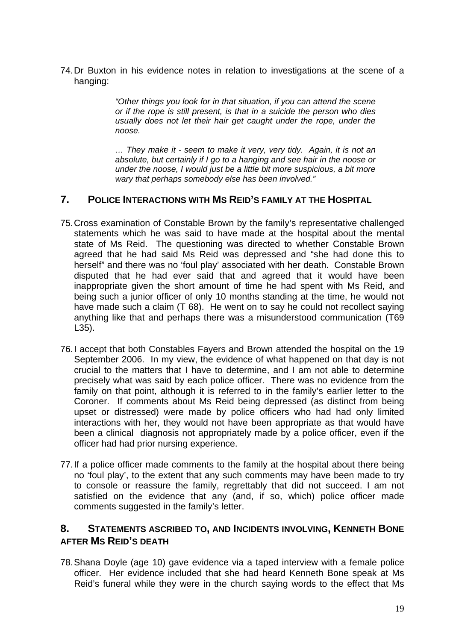74. Dr Buxton in his evidence notes in relation to investigations at the scene of a hanging:

> *"Other things you look for in that situation, if you can attend the scene or if the rope is still present, is that in a suicide the person who dies*  usually does not let their hair get caught under the rope, under the *noose.*

> *… They make it - seem to make it very, very tidy. Again, it is not an absolute, but certainly if I go to a hanging and see hair in the noose or under the noose, I would just be a little bit more suspicious, a bit more wary that perhaps somebody else has been involved."*

## **7. POLICE INTERACTIONS WITH MS REID'S FAMILY AT THE HOSPITAL**

- 75. Cross examination of Constable Brown by the family's representative challenged statements which he was said to have made at the hospital about the mental state of Ms Reid. The questioning was directed to whether Constable Brown agreed that he had said Ms Reid was depressed and "she had done this to herself" and there was no 'foul play' associated with her death. Constable Brown disputed that he had ever said that and agreed that it would have been inappropriate given the short amount of time he had spent with Ms Reid, and being such a junior officer of only 10 months standing at the time, he would not have made such a claim (T 68). He went on to say he could not recollect saying anything like that and perhaps there was a misunderstood communication (T69 L35).
- 76. I accept that both Constables Fayers and Brown attended the hospital on the 19 September 2006. In my view, the evidence of what happened on that day is not crucial to the matters that I have to determine, and I am not able to determine precisely what was said by each police officer. There was no evidence from the family on that point, although it is referred to in the family's earlier letter to the Coroner. If comments about Ms Reid being depressed (as distinct from being upset or distressed) were made by police officers who had had only limited interactions with her, they would not have been appropriate as that would have been a clinical diagnosis not appropriately made by a police officer, even if the officer had had prior nursing experience.
- 77. If a police officer made comments to the family at the hospital about there being no 'foul play', to the extent that any such comments may have been made to try to console or reassure the family, regrettably that did not succeed. I am not satisfied on the evidence that any (and, if so, which) police officer made comments suggested in the family's letter.

## **8. STATEMENTS ASCRIBED TO, AND INCIDENTS INVOLVING, KENNETH BONE AFTER MS REID'S DEATH**

78. Shana Doyle (age 10) gave evidence via a taped interview with a female police officer. Her evidence included that she had heard Kenneth Bone speak at Ms Reid's funeral while they were in the church saying words to the effect that Ms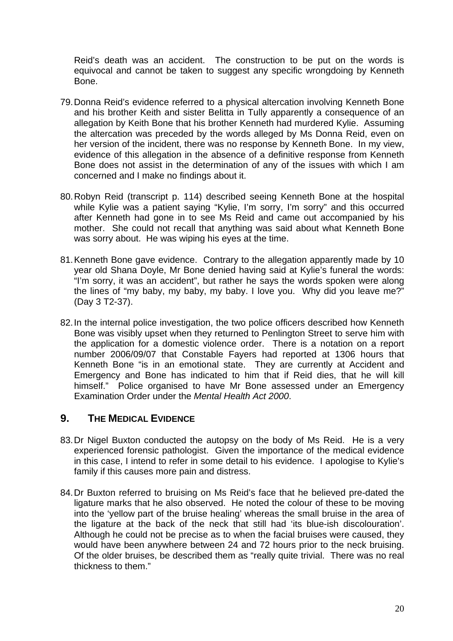Reid's death was an accident. The construction to be put on the words is equivocal and cannot be taken to suggest any specific wrongdoing by Kenneth Bone.

- 79. Donna Reid's evidence referred to a physical altercation involving Kenneth Bone and his brother Keith and sister Belitta in Tully apparently a consequence of an allegation by Keith Bone that his brother Kenneth had murdered Kylie. Assuming the altercation was preceded by the words alleged by Ms Donna Reid, even on her version of the incident, there was no response by Kenneth Bone. In my view, evidence of this allegation in the absence of a definitive response from Kenneth Bone does not assist in the determination of any of the issues with which I am concerned and I make no findings about it.
- 80. Robyn Reid (transcript p. 114) described seeing Kenneth Bone at the hospital while Kylie was a patient saying "Kylie, I'm sorry, I'm sorry" and this occurred after Kenneth had gone in to see Ms Reid and came out accompanied by his mother. She could not recall that anything was said about what Kenneth Bone was sorry about. He was wiping his eyes at the time.
- 81. Kenneth Bone gave evidence. Contrary to the allegation apparently made by 10 year old Shana Doyle, Mr Bone denied having said at Kylie's funeral the words: "I'm sorry, it was an accident", but rather he says the words spoken were along the lines of "my baby, my baby, my baby. I love you. Why did you leave me?" (Day 3 T2-37).
- 82. In the internal police investigation, the two police officers described how Kenneth Bone was visibly upset when they returned to Penlington Street to serve him with the application for a domestic violence order. There is a notation on a report number 2006/09/07 that Constable Fayers had reported at 1306 hours that Kenneth Bone "is in an emotional state. They are currently at Accident and Emergency and Bone has indicated to him that if Reid dies, that he will kill himself." Police organised to have Mr Bone assessed under an Emergency Examination Order under the *Mental Health Act 2000*.

## **9. THE MEDICAL EVIDENCE**

- 83. Dr Nigel Buxton conducted the autopsy on the body of Ms Reid. He is a very experienced forensic pathologist. Given the importance of the medical evidence in this case, I intend to refer in some detail to his evidence. I apologise to Kylie's family if this causes more pain and distress.
- 84. Dr Buxton referred to bruising on Ms Reid's face that he believed pre-dated the ligature marks that he also observed. He noted the colour of these to be moving into the 'yellow part of the bruise healing' whereas the small bruise in the area of the ligature at the back of the neck that still had 'its blue-ish discolouration'. Although he could not be precise as to when the facial bruises were caused, they would have been anywhere between 24 and 72 hours prior to the neck bruising. Of the older bruises, be described them as "really quite trivial. There was no real thickness to them."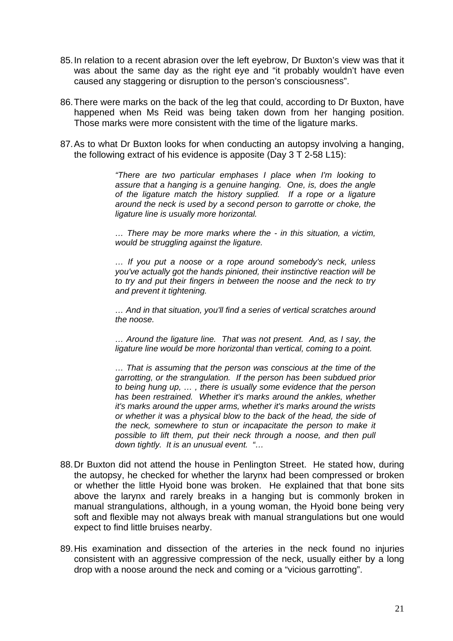- 85. In relation to a recent abrasion over the left eyebrow, Dr Buxton's view was that it was about the same day as the right eye and "it probably wouldn't have even caused any staggering or disruption to the person's consciousness".
- 86. There were marks on the back of the leg that could, according to Dr Buxton, have happened when Ms Reid was being taken down from her hanging position. Those marks were more consistent with the time of the ligature marks.
- 87. As to what Dr Buxton looks for when conducting an autopsy involving a hanging, the following extract of his evidence is apposite (Day 3 T 2-58 L15):

*"There are two particular emphases I place when I'm looking to assure that a hanging is a genuine hanging. One, is, does the angle of the ligature match the history supplied. If a rope or a ligature around the neck is used by a second person to garrotte or choke, the ligature line is usually more horizontal.* 

*… There may be more marks where the - in this situation, a victim, would be struggling against the ligature.* 

*… If you put a noose or a rope around somebody's neck, unless you've actually got the hands pinioned, their instinctive reaction will be to try and put their fingers in between the noose and the neck to try and prevent it tightening.* 

*… And in that situation, you'll find a series of vertical scratches around the noose.* 

*… Around the ligature line. That was not present. And, as I say, the ligature line would be more horizontal than vertical, coming to a point.* 

*… That is assuming that the person was conscious at the time of the garrotting, or the strangulation. If the person has been subdued prior to being hung up, … , there is usually some evidence that the person has been restrained. Whether it's marks around the ankles, whether it's marks around the upper arms, whether it's marks around the wrists or whether it was a physical blow to the back of the head, the side of the neck, somewhere to stun or incapacitate the person to make it possible to lift them, put their neck through a noose, and then pull down tightly. It is an unusual event. "…* 

- 88. Dr Buxton did not attend the house in Penlington Street. He stated how, during the autopsy, he checked for whether the larynx had been compressed or broken or whether the little Hyoid bone was broken. He explained that that bone sits above the larynx and rarely breaks in a hanging but is commonly broken in manual strangulations, although, in a young woman, the Hyoid bone being very soft and flexible may not always break with manual strangulations but one would expect to find little bruises nearby.
- 89. His examination and dissection of the arteries in the neck found no injuries consistent with an aggressive compression of the neck, usually either by a long drop with a noose around the neck and coming or a "vicious garrotting".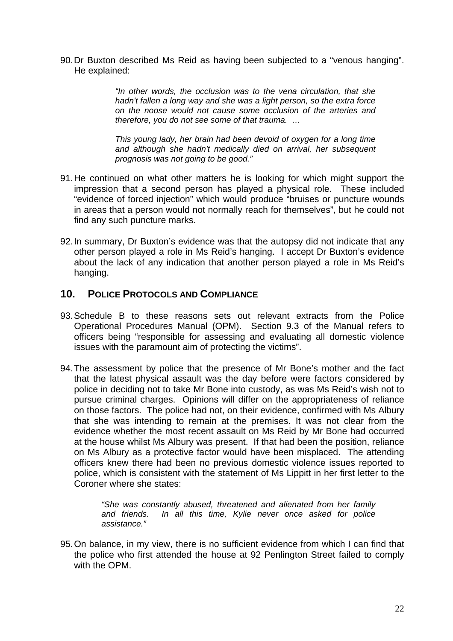90. Dr Buxton described Ms Reid as having been subjected to a "venous hanging". He explained:

> *"In other words, the occlusion was to the vena circulation, that she hadn't fallen a long way and she was a light person, so the extra force on the noose would not cause some occlusion of the arteries and therefore, you do not see some of that trauma. …*

> *This young lady, her brain had been devoid of oxygen for a long time and although she hadn't medically died on arrival, her subsequent prognosis was not going to be good."*

- 91. He continued on what other matters he is looking for which might support the impression that a second person has played a physical role. These included "evidence of forced injection" which would produce "bruises or puncture wounds in areas that a person would not normally reach for themselves", but he could not find any such puncture marks.
- 92. In summary, Dr Buxton's evidence was that the autopsy did not indicate that any other person played a role in Ms Reid's hanging. I accept Dr Buxton's evidence about the lack of any indication that another person played a role in Ms Reid's hanging.

## **10. POLICE PROTOCOLS AND COMPLIANCE**

- 93. Schedule B to these reasons sets out relevant extracts from the Police Operational Procedures Manual (OPM). Section 9.3 of the Manual refers to officers being "responsible for assessing and evaluating all domestic violence issues with the paramount aim of protecting the victims".
- 94. The assessment by police that the presence of Mr Bone's mother and the fact that the latest physical assault was the day before were factors considered by police in deciding not to take Mr Bone into custody, as was Ms Reid's wish not to pursue criminal charges. Opinions will differ on the appropriateness of reliance on those factors. The police had not, on their evidence, confirmed with Ms Albury that she was intending to remain at the premises. It was not clear from the evidence whether the most recent assault on Ms Reid by Mr Bone had occurred at the house whilst Ms Albury was present. If that had been the position, reliance on Ms Albury as a protective factor would have been misplaced. The attending officers knew there had been no previous domestic violence issues reported to police, which is consistent with the statement of Ms Lippitt in her first letter to the Coroner where she states:

*"She was constantly abused, threatened and alienated from her family and friends. In all this time, Kylie never once asked for police assistance."* 

95. On balance, in my view, there is no sufficient evidence from which I can find that the police who first attended the house at 92 Penlington Street failed to comply with the OPM.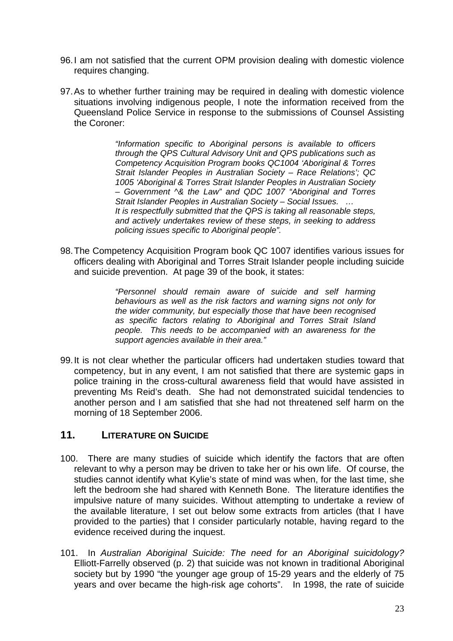- 96. I am not satisfied that the current OPM provision dealing with domestic violence requires changing.
- 97. As to whether further training may be required in dealing with domestic violence situations involving indigenous people, I note the information received from the Queensland Police Service in response to the submissions of Counsel Assisting the Coroner:

*"Information specific to Aboriginal persons is available to officers through the QPS Cultural Advisory Unit and QPS publications such as Competency Acquisition Program books QC1004 'Aboriginal & Torres Strait Islander Peoples in Australian Society – Race Relations'; QC 1005 'Aboriginal & Torres Strait Islander Peoples in Australian Society – Government ^& the Law" and QDC 1007 "Aboriginal and Torres Strait Islander Peoples in Australian Society – Social Issues. … It is respectfully submitted that the QPS is taking all reasonable steps, and actively undertakes review of these steps, in seeking to address policing issues specific to Aboriginal people".* 

98. The Competency Acquisition Program book QC 1007 identifies various issues for officers dealing with Aboriginal and Torres Strait Islander people including suicide and suicide prevention. At page 39 of the book, it states:

> *"Personnel should remain aware of suicide and self harming behaviours as well as the risk factors and warning signs not only for the wider community, but especially those that have been recognised as specific factors relating to Aboriginal and Torres Strait Island people. This needs to be accompanied with an awareness for the support agencies available in their area."*

99. It is not clear whether the particular officers had undertaken studies toward that competency, but in any event, I am not satisfied that there are systemic gaps in police training in the cross-cultural awareness field that would have assisted in preventing Ms Reid's death. She had not demonstrated suicidal tendencies to another person and I am satisfied that she had not threatened self harm on the morning of 18 September 2006.

## **11. LITERATURE ON SUICIDE**

- 100. There are many studies of suicide which identify the factors that are often relevant to why a person may be driven to take her or his own life. Of course, the studies cannot identify what Kylie's state of mind was when, for the last time, she left the bedroom she had shared with Kenneth Bone. The literature identifies the impulsive nature of many suicides. Without attempting to undertake a review of the available literature, I set out below some extracts from articles (that I have provided to the parties) that I consider particularly notable, having regard to the evidence received during the inquest.
- 101. In *Australian Aboriginal Suicide: The need for an Aboriginal suicidology?* Elliott-Farrelly observed (p. 2) that suicide was not known in traditional Aboriginal society but by 1990 "the younger age group of 15-29 years and the elderly of 75 years and over became the high-risk age cohorts". In 1998, the rate of suicide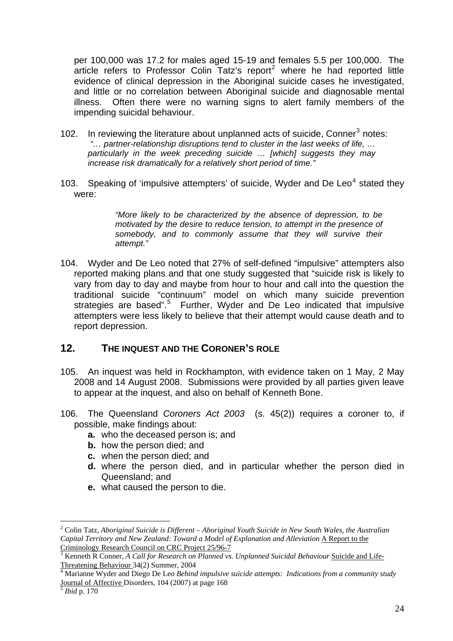per 100,000 was 17.2 for males aged 15-19 and females 5.5 per 100,000. The article refers to Professor Colin Tatz's report<sup>[2](#page-25-0)</sup> where he had reported little evidence of clinical depression in the Aboriginal suicide cases he investigated, and little or no correlation between Aboriginal suicide and diagnosable mental illness. Often there were no warning signs to alert family members of the impending suicidal behaviour.

- 102. In reviewing the literature about unplanned acts of suicide, Conner<sup>[3](#page-25-1)</sup> notes: *"… partner-relationship disruptions tend to cluster in the last weeks of life, … particularly in the week preceding suicide … [which] suggests they may increase risk dramatically for a relatively short period of time."*
- 103. Speaking of 'impulsive attempters' of suicide, Wyder and De Leo<sup>[4](#page-25-2)</sup> stated they were:

*"More likely to be characterized by the absence of depression, to be motivated by the desire to reduce tension, to attempt in the presence of somebody, and to commonly assume that they will survive their attempt."* 

104. Wyder and De Leo noted that 27% of self-defined "impulsive" attempters also reported making plans and that one study suggested that "suicide risk is likely to vary from day to day and maybe from hour to hour and call into the question the traditional suicide "continuum" model on which many suicide prevention strategies are based".<sup>[5](#page-25-3)</sup> Further, Wyder and De Leo indicated that impulsive attempters were less likely to believe that their attempt would cause death and to report depression.

## **12. THE INQUEST AND THE CORONER'S ROLE**

- 105. An inquest was held in Rockhampton, with evidence taken on 1 May, 2 May 2008 and 14 August 2008. Submissions were provided by all parties given leave to appear at the inquest, and also on behalf of Kenneth Bone.
- 106. The Queensland *Coroners Act 2003* (s. 45(2)) requires a coroner to, if possible, make findings about:
	- **a.** who the deceased person is; and
	- **b.** how the person died; and
	- **c.** when the person died; and
	- **d.** where the person died, and in particular whether the person died in Queensland; and
	- **e.** what caused the person to die.

 $\overline{a}$ 

<span id="page-25-0"></span><sup>2</sup> Colin Tatz, *Aboriginal Suicide is Different – Aboriginal Youth Suicide in New South Wales, the Australian Capital Territory and New Zealand: Toward a Model of Explanation and Alleviation* A Report to the Criminology Research Council on CRC Project 25/96-7<sup>3</sup>

<span id="page-25-1"></span>Kenneth R Conner, *A Call for Research on Planned vs. Unplanned Suicidal Behaviour* Suicide and Life-Threatening Behaviour 34(2) Summer, 2004

<span id="page-25-2"></span>Marianne Wyder and Diego De Leo *Behind impulsive suicide attempts: Indications from a community study* Journal of Affective Disorders, 104 (2007) at page 168 5 *Ibid* p. 170

<span id="page-25-3"></span>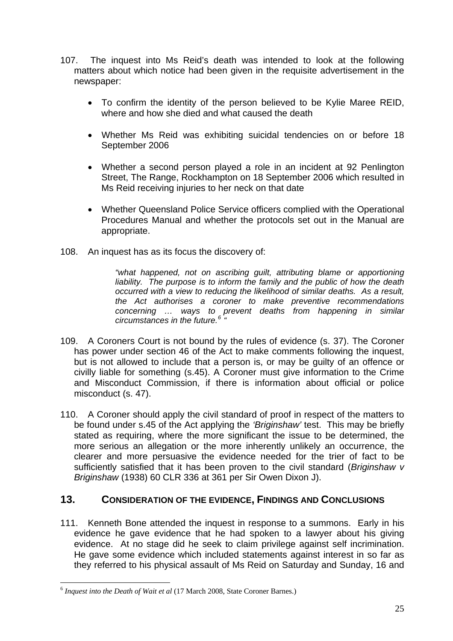- 107. The inquest into Ms Reid's death was intended to look at the following matters about which notice had been given in the requisite advertisement in the newspaper:
	- To confirm the identity of the person believed to be Kylie Maree REID, where and how she died and what caused the death
	- Whether Ms Reid was exhibiting suicidal tendencies on or before 18 September 2006
	- Whether a second person played a role in an incident at 92 Penlington Street, The Range, Rockhampton on 18 September 2006 which resulted in Ms Reid receiving injuries to her neck on that date
	- Whether Queensland Police Service officers complied with the Operational Procedures Manual and whether the protocols set out in the Manual are appropriate.
- 108. An inquest has as its focus the discovery of:

*"what happened, not on ascribing guilt, attributing blame or apportioning liability. The purpose is to inform the family and the public of how the death occurred with a view to reducing the likelihood of similar deaths. As a result, the Act authorises a coroner to make preventive recommendations concerning … ways to prevent deaths from happening in similar circumstances in the future.[6](#page-26-0) "* 

- 109. A Coroners Court is not bound by the rules of evidence (s. 37). The Coroner has power under section 46 of the Act to make comments following the inquest, but is not allowed to include that a person is, or may be guilty of an offence or civilly liable for something (s.45). A Coroner must give information to the Crime and Misconduct Commission, if there is information about official or police misconduct (s. 47).
- 110. A Coroner should apply the civil standard of proof in respect of the matters to be found under s.45 of the Act applying the *'Briginshaw'* test. This may be briefly stated as requiring, where the more significant the issue to be determined, the more serious an allegation or the more inherently unlikely an occurrence, the clearer and more persuasive the evidence needed for the trier of fact to be sufficiently satisfied that it has been proven to the civil standard (*Briginshaw v Briginshaw* (1938) 60 CLR 336 at 361 per Sir Owen Dixon J).

## **13. CONSIDERATION OF THE EVIDENCE, FINDINGS AND CONCLUSIONS**

111. Kenneth Bone attended the inquest in response to a summons. Early in his evidence he gave evidence that he had spoken to a lawyer about his giving evidence. At no stage did he seek to claim privilege against self incrimination. He gave some evidence which included statements against interest in so far as they referred to his physical assault of Ms Reid on Saturday and Sunday, 16 and

<span id="page-26-0"></span> $\overline{a}$ <sup>6</sup> *Inquest into the Death of Wait et al* (17 March 2008, State Coroner Barnes.)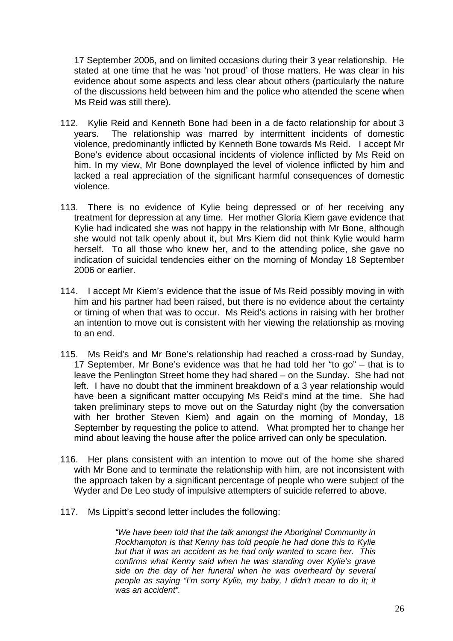17 September 2006, and on limited occasions during their 3 year relationship. He stated at one time that he was 'not proud' of those matters. He was clear in his evidence about some aspects and less clear about others (particularly the nature of the discussions held between him and the police who attended the scene when Ms Reid was still there).

- 112. Kylie Reid and Kenneth Bone had been in a de facto relationship for about 3 years. The relationship was marred by intermittent incidents of domestic violence, predominantly inflicted by Kenneth Bone towards Ms Reid. I accept Mr Bone's evidence about occasional incidents of violence inflicted by Ms Reid on him. In my view, Mr Bone downplayed the level of violence inflicted by him and lacked a real appreciation of the significant harmful consequences of domestic violence.
- 113. There is no evidence of Kylie being depressed or of her receiving any treatment for depression at any time. Her mother Gloria Kiem gave evidence that Kylie had indicated she was not happy in the relationship with Mr Bone, although she would not talk openly about it, but Mrs Kiem did not think Kylie would harm herself. To all those who knew her, and to the attending police, she gave no indication of suicidal tendencies either on the morning of Monday 18 September 2006 or earlier.
- 114. I accept Mr Kiem's evidence that the issue of Ms Reid possibly moving in with him and his partner had been raised, but there is no evidence about the certainty or timing of when that was to occur. Ms Reid's actions in raising with her brother an intention to move out is consistent with her viewing the relationship as moving to an end.
- 115. Ms Reid's and Mr Bone's relationship had reached a cross-road by Sunday, 17 September. Mr Bone's evidence was that he had told her "to go" – that is to leave the Penlington Street home they had shared – on the Sunday. She had not left. I have no doubt that the imminent breakdown of a 3 year relationship would have been a significant matter occupying Ms Reid's mind at the time. She had taken preliminary steps to move out on the Saturday night (by the conversation with her brother Steven Kiem) and again on the morning of Monday, 18 September by requesting the police to attend. What prompted her to change her mind about leaving the house after the police arrived can only be speculation.
- 116. Her plans consistent with an intention to move out of the home she shared with Mr Bone and to terminate the relationship with him, are not inconsistent with the approach taken by a significant percentage of people who were subject of the Wyder and De Leo study of impulsive attempters of suicide referred to above.
- 117. Ms Lippitt's second letter includes the following:

*"We have been told that the talk amongst the Aboriginal Community in Rockhampton is that Kenny has told people he had done this to Kylie but that it was an accident as he had only wanted to scare her. This confirms what Kenny said when he was standing over Kylie's grave side on the day of her funeral when he was overheard by several people as saying "I'm sorry Kylie, my baby, I didn't mean to do it; it was an accident".*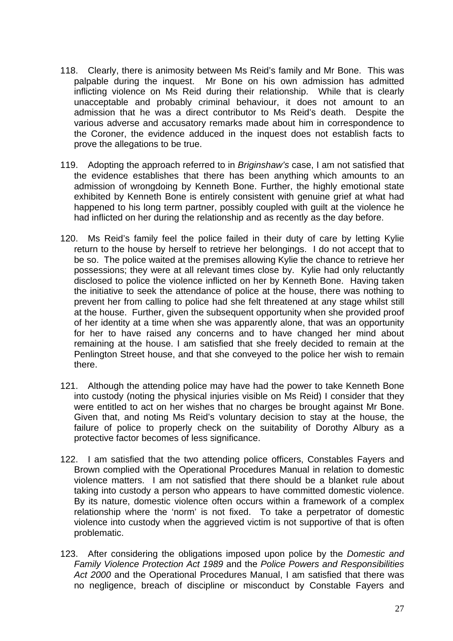- 118. Clearly, there is animosity between Ms Reid's family and Mr Bone. This was palpable during the inquest. Mr Bone on his own admission has admitted inflicting violence on Ms Reid during their relationship. While that is clearly unacceptable and probably criminal behaviour, it does not amount to an admission that he was a direct contributor to Ms Reid's death. Despite the various adverse and accusatory remarks made about him in correspondence to the Coroner, the evidence adduced in the inquest does not establish facts to prove the allegations to be true.
- 119. Adopting the approach referred to in *Briginshaw's* case, I am not satisfied that the evidence establishes that there has been anything which amounts to an admission of wrongdoing by Kenneth Bone. Further, the highly emotional state exhibited by Kenneth Bone is entirely consistent with genuine grief at what had happened to his long term partner, possibly coupled with guilt at the violence he had inflicted on her during the relationship and as recently as the day before.
- 120. Ms Reid's family feel the police failed in their duty of care by letting Kylie return to the house by herself to retrieve her belongings. I do not accept that to be so. The police waited at the premises allowing Kylie the chance to retrieve her possessions; they were at all relevant times close by. Kylie had only reluctantly disclosed to police the violence inflicted on her by Kenneth Bone. Having taken the initiative to seek the attendance of police at the house, there was nothing to prevent her from calling to police had she felt threatened at any stage whilst still at the house. Further, given the subsequent opportunity when she provided proof of her identity at a time when she was apparently alone, that was an opportunity for her to have raised any concerns and to have changed her mind about remaining at the house. I am satisfied that she freely decided to remain at the Penlington Street house, and that she conveyed to the police her wish to remain there.
- 121. Although the attending police may have had the power to take Kenneth Bone into custody (noting the physical injuries visible on Ms Reid) I consider that they were entitled to act on her wishes that no charges be brought against Mr Bone. Given that, and noting Ms Reid's voluntary decision to stay at the house, the failure of police to properly check on the suitability of Dorothy Albury as a protective factor becomes of less significance.
- 122. I am satisfied that the two attending police officers, Constables Fayers and Brown complied with the Operational Procedures Manual in relation to domestic violence matters. I am not satisfied that there should be a blanket rule about taking into custody a person who appears to have committed domestic violence. By its nature, domestic violence often occurs within a framework of a complex relationship where the 'norm' is not fixed. To take a perpetrator of domestic violence into custody when the aggrieved victim is not supportive of that is often problematic.
- 123. After considering the obligations imposed upon police by the *Domestic and Family Violence Protection Act 1989* and the *Police Powers and Responsibilities Act 2000* and the Operational Procedures Manual, I am satisfied that there was no negligence, breach of discipline or misconduct by Constable Fayers and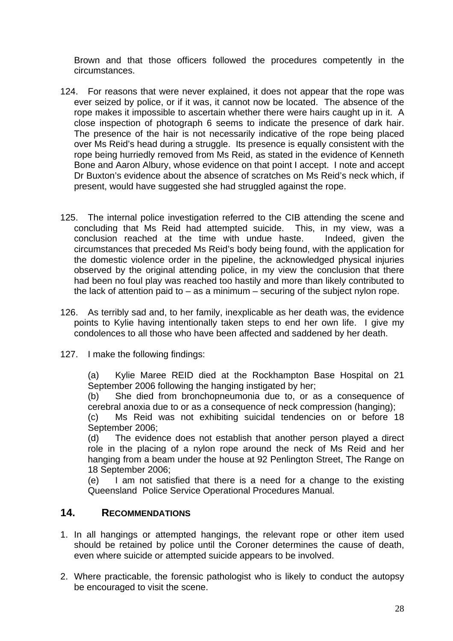Brown and that those officers followed the procedures competently in the circumstances.

- 124. For reasons that were never explained, it does not appear that the rope was ever seized by police, or if it was, it cannot now be located. The absence of the rope makes it impossible to ascertain whether there were hairs caught up in it. A close inspection of photograph 6 seems to indicate the presence of dark hair. The presence of the hair is not necessarily indicative of the rope being placed over Ms Reid's head during a struggle. Its presence is equally consistent with the rope being hurriedly removed from Ms Reid, as stated in the evidence of Kenneth Bone and Aaron Albury, whose evidence on that point I accept. I note and accept Dr Buxton's evidence about the absence of scratches on Ms Reid's neck which, if present, would have suggested she had struggled against the rope.
- 125. The internal police investigation referred to the CIB attending the scene and concluding that Ms Reid had attempted suicide. This, in my view, was a conclusion reached at the time with undue haste. Indeed, given the circumstances that preceded Ms Reid's body being found, with the application for the domestic violence order in the pipeline, the acknowledged physical injuries observed by the original attending police, in my view the conclusion that there had been no foul play was reached too hastily and more than likely contributed to the lack of attention paid to  $-$  as a minimum  $-$  securing of the subject nylon rope.
- 126. As terribly sad and, to her family, inexplicable as her death was, the evidence points to Kylie having intentionally taken steps to end her own life. I give my condolences to all those who have been affected and saddened by her death.
- 127. I make the following findings:

(a) Kylie Maree REID died at the Rockhampton Base Hospital on 21 September 2006 following the hanging instigated by her;

(b) She died from bronchopneumonia due to, or as a consequence of cerebral anoxia due to or as a consequence of neck compression (hanging);

(c) Ms Reid was not exhibiting suicidal tendencies on or before 18 September 2006;

(d) The evidence does not establish that another person played a direct role in the placing of a nylon rope around the neck of Ms Reid and her hanging from a beam under the house at 92 Penlington Street, The Range on 18 September 2006;

(e) I am not satisfied that there is a need for a change to the existing Queensland Police Service Operational Procedures Manual.

## **14. RECOMMENDATIONS**

- 1. In all hangings or attempted hangings, the relevant rope or other item used should be retained by police until the Coroner determines the cause of death, even where suicide or attempted suicide appears to be involved.
- 2. Where practicable, the forensic pathologist who is likely to conduct the autopsy be encouraged to visit the scene.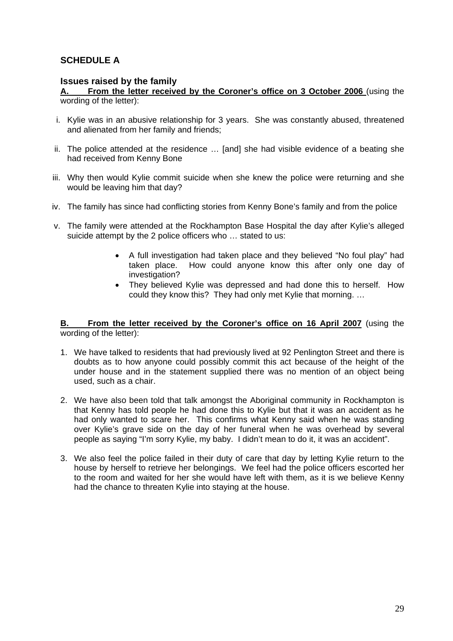## **SCHEDULE A**

#### **Issues raised by the family**

**A. From the letter received by the Coroner's office on 3 October 2006** (using the wording of the letter):

- i. Kylie was in an abusive relationship for 3 years. She was constantly abused, threatened and alienated from her family and friends;
- ii. The police attended at the residence … [and] she had visible evidence of a beating she had received from Kenny Bone
- iii. Why then would Kylie commit suicide when she knew the police were returning and she would be leaving him that day?
- iv. The family has since had conflicting stories from Kenny Bone's family and from the police
- v. The family were attended at the Rockhampton Base Hospital the day after Kylie's alleged suicide attempt by the 2 police officers who … stated to us:
	- A full investigation had taken place and they believed "No foul play" had taken place. How could anyone know this after only one day of investigation?
	- They believed Kylie was depressed and had done this to herself. How could they know this? They had only met Kylie that morning. …

#### **B. From the letter received by the Coroner's office on 16 April 2007** (using the wording of the letter):

- 1. We have talked to residents that had previously lived at 92 Penlington Street and there is doubts as to how anyone could possibly commit this act because of the height of the under house and in the statement supplied there was no mention of an object being used, such as a chair.
- 2. We have also been told that talk amongst the Aboriginal community in Rockhampton is that Kenny has told people he had done this to Kylie but that it was an accident as he had only wanted to scare her. This confirms what Kenny said when he was standing over Kylie's grave side on the day of her funeral when he was overhead by several people as saying "I'm sorry Kylie, my baby. I didn't mean to do it, it was an accident".
- 3. We also feel the police failed in their duty of care that day by letting Kylie return to the house by herself to retrieve her belongings. We feel had the police officers escorted her to the room and waited for her she would have left with them, as it is we believe Kenny had the chance to threaten Kylie into staying at the house.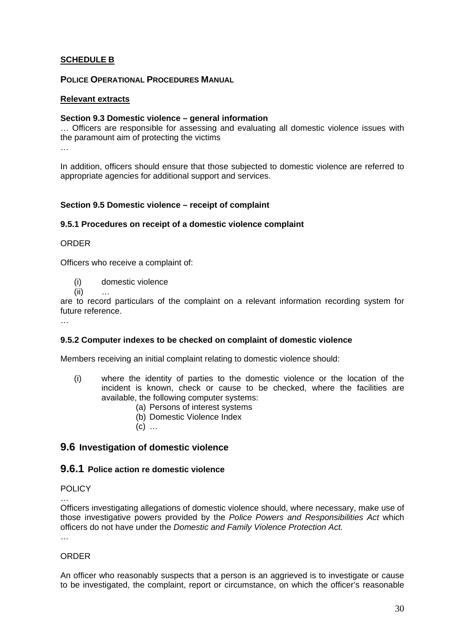#### **SCHEDULE B**

#### **POLICE OPERATIONAL PROCEDURES MANUAL**

#### **Relevant extracts**

#### **Section 9.3 Domestic violence – general information**

… Officers are responsible for assessing and evaluating all domestic violence issues with the paramount aim of protecting the victims …

In addition, officers should ensure that those subjected to domestic violence are referred to appropriate agencies for additional support and services.

#### **Section 9.5 Domestic violence – receipt of complaint**

#### **9.5.1 Procedures on receipt of a domestic violence complaint**

#### ORDER

Officers who receive a complaint of:

- (i) domestic violence
- $(i)$

are to record particulars of the complaint on a relevant information recording system for future reference.

…

#### **9.5.2 Computer indexes to be checked on complaint of domestic violence**

Members receiving an initial complaint relating to domestic violence should:

- (i) where the identity of parties to the domestic violence or the location of the incident is known, check or cause to be checked, where the facilities are available, the following computer systems:
	- (a) Persons of interest systems
	- (b) Domestic Violence Index
	- $(c)$  ...

#### **9.6 Investigation of domestic violence**

#### **9.6.1 Police action re domestic violence**

#### POLICY

…

Officers investigating allegations of domestic violence should, where necessary, make use of those investigative powers provided by the *Police Powers and Responsibilities Act* which officers do not have under the *Domestic and Family Violence Protection Act.* 

…

#### **ORDER**

An officer who reasonably suspects that a person is an aggrieved is to investigate or cause to be investigated, the complaint, report or circumstance, on which the officer's reasonable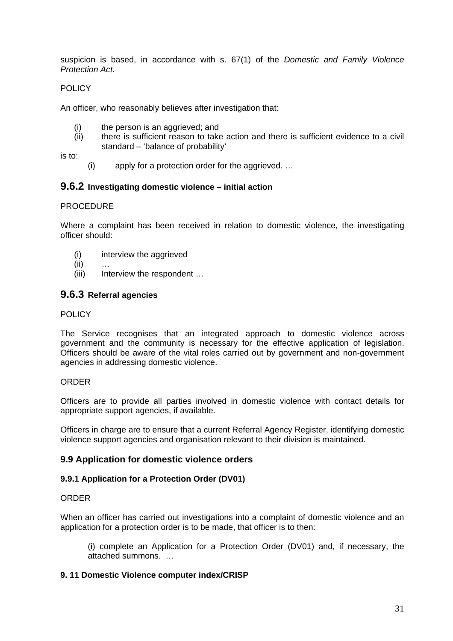suspicion is based, in accordance with s. 67(1) of the *Domestic and Family Violence Protection Act.* 

#### POLICY

An officer, who reasonably believes after investigation that:

- (i) the person is an aggrieved; and
- (ii) there is sufficient reason to take action and there is sufficient evidence to a civil standard – 'balance of probability'

is to:

(i) apply for a protection order for the aggrieved. …

#### **9.6.2 Investigating domestic violence – initial action**

#### **PROCEDURE**

Where a complaint has been received in relation to domestic violence, the investigating officer should:

- (i) interview the aggrieved
- $(ii)$
- (iii) Interview the respondent ...

#### **9.6.3 Referral agencies**

#### POLICY

The Service recognises that an integrated approach to domestic violence across government and the community is necessary for the effective application of legislation. Officers should be aware of the vital roles carried out by government and non-government agencies in addressing domestic violence.

#### **ORDER**

Officers are to provide all parties involved in domestic violence with contact details for appropriate support agencies, if available.

Officers in charge are to ensure that a current Referral Agency Register, identifying domestic violence support agencies and organisation relevant to their division is maintained.

#### **9.9 Application for domestic violence orders**

#### **9.9.1 Application for a Protection Order (DV01)**

#### **ORDER**

When an officer has carried out investigations into a complaint of domestic violence and an application for a protection order is to be made, that officer is to then:

(i) complete an Application for a Protection Order (DV01) and, if necessary, the attached summons. …

#### **9. 11 Domestic Violence computer index/CRISP**